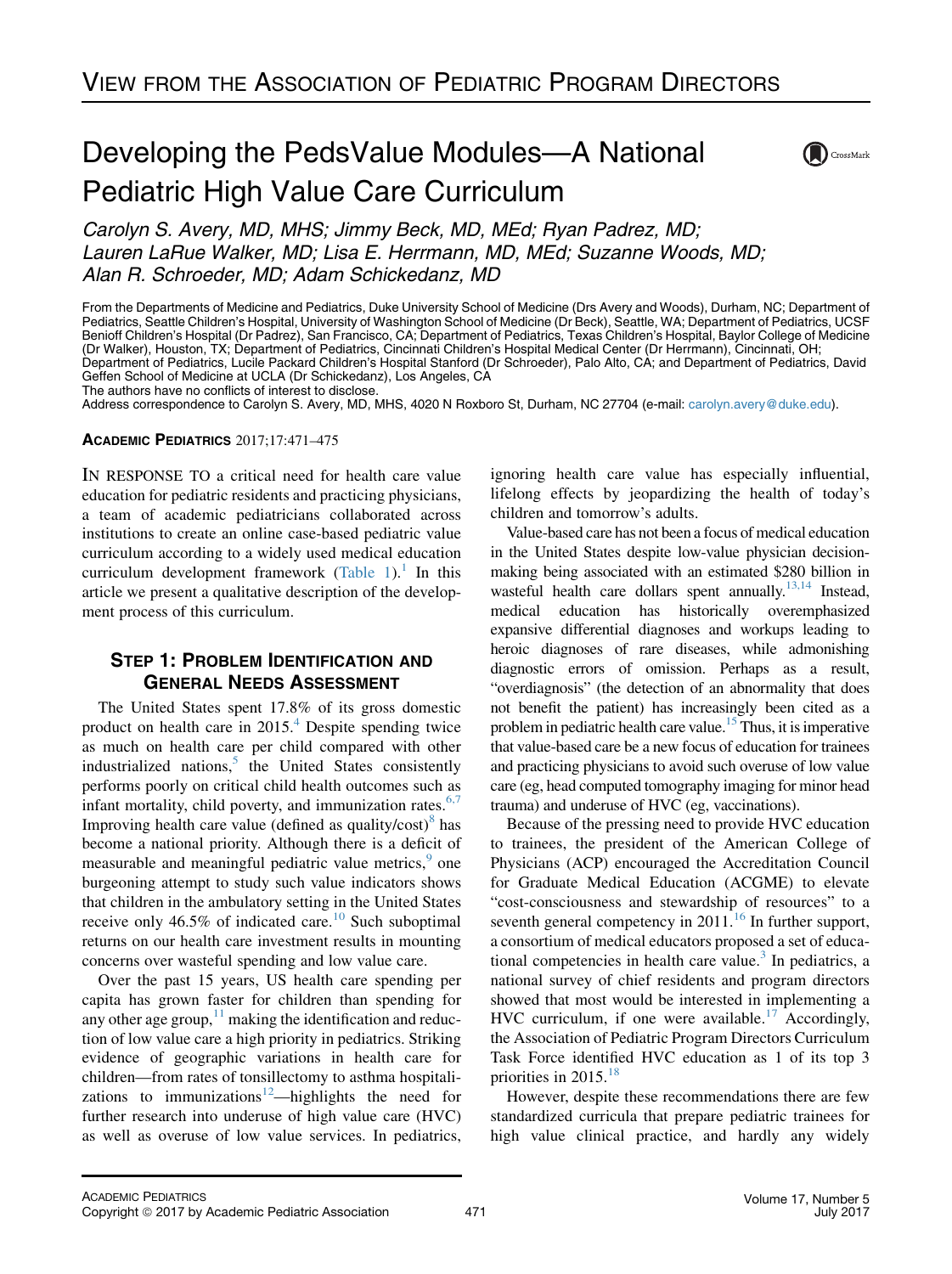# Developing the PedsValue Modules—A National Pediatric High Value Care Curriculum



Carolyn S. Avery, MD, MHS; Jimmy Beck, MD, MEd; Ryan Padrez, MD; Lauren LaRue Walker, MD; Lisa E. Herrmann, MD, MEd; Suzanne Woods, MD; Alan R. Schroeder, MD; Adam Schickedanz, MD

From the Departments of Medicine and Pediatrics, Duke University School of Medicine (Drs Avery and Woods), Durham, NC; Department of Pediatrics, Seattle Children's Hospital, University of Washington School of Medicine (Dr Beck), Seattle, WA; Department of Pediatrics, UCSF Benioff Children's Hospital (Dr Padrez), San Francisco, CA; Department of Pediatrics, Texas Children's Hospital, Baylor College of Medicine (Dr Walker), Houston, TX; Department of Pediatrics, Cincinnati Children's Hospital Medical Center (Dr Herrmann), Cincinnati, OH; Department of Pediatrics, Lucile Packard Children's Hospital Stanford (Dr Schroeder), Palo Alto, CA; and Department of Pediatrics, David Geffen School of Medicine at UCLA (Dr Schickedanz), Los Angeles, CA

The authors have no conflicts of interest to disclose.

Address correspondence to Carolyn S. Avery, MD, MHS, 4020 N Roxboro St, Durham, NC 27704 (e-mail: [carolyn.avery@duke.edu\)](mailto:carolyn.avery@duke.edu).

#### ACADEMIC PEDIATRICS 2017;17:471–475

IN RESPONSE TO a critical need for health care value education for pediatric residents and practicing physicians, a team of academic pediatricians collaborated across institutions to create an online case-based pediatric value curriculum according to a widely used medical education curriculum development framework [\(Table 1\)](#page-1-0).<sup>[1](#page-4-0)</sup> In this article we present a qualitative description of the development process of this curriculum.

# STEP 1: PROBLEM IDENTIFICATION AND GENERAL NEEDS ASSESSMENT

The United States spent 17.8% of its gross domestic product on health care in  $2015<sup>4</sup>$  $2015<sup>4</sup>$  $2015<sup>4</sup>$  Despite spending twice as much on health care per child compared with other industrialized nations, $<sup>5</sup>$  $<sup>5</sup>$  $<sup>5</sup>$  the United States consistently</sup> performs poorly on critical child health outcomes such as infant mortality, child poverty, and immunization rates. $6,7$ Improving health care value (defined as quality/ $\cosh^8$  $\cosh^8$  has become a national priority. Although there is a deficit of measurable and meaningful pediatric value metrics,<sup>[9](#page-4-0)</sup> one burgeoning attempt to study such value indicators shows that children in the ambulatory setting in the United States receive only 46.5% of indicated care.<sup>[10](#page-4-0)</sup> Such suboptimal returns on our health care investment results in mounting concerns over wasteful spending and low value care.

Over the past 15 years, US health care spending per capita has grown faster for children than spending for any other age group, $11$  making the identification and reduction of low value care a high priority in pediatrics. Striking evidence of geographic variations in health care for children—from rates of tonsillectomy to asthma hospitali-zations to immunizations<sup>[12](#page-4-0)</sup>—highlights the need for further research into underuse of high value care (HVC) as well as overuse of low value services. In pediatrics,

ignoring health care value has especially influential, lifelong effects by jeopardizing the health of today's children and tomorrow's adults.

Value-based care has not been a focus of medical education in the United States despite low-value physician decisionmaking being associated with an estimated \$280 billion in wasteful health care dollars spent annually.<sup>13,14</sup> Instead, medical education has historically overemphasized expansive differential diagnoses and workups leading to heroic diagnoses of rare diseases, while admonishing diagnostic errors of omission. Perhaps as a result, "overdiagnosis" (the detection of an abnormality that does not benefit the patient) has increasingly been cited as a problem in pediatric health care value.<sup>15</sup> Thus, it is imperative that value-based care be a new focus of education for trainees and practicing physicians to avoid such overuse of low value care (eg, head computed tomography imaging for minor head trauma) and underuse of HVC (eg, vaccinations).

Because of the pressing need to provide HVC education to trainees, the president of the American College of Physicians (ACP) encouraged the Accreditation Council for Graduate Medical Education (ACGME) to elevate "cost-consciousness and stewardship of resources" to a seventh general competency in  $2011$ .<sup>[16](#page-4-0)</sup> In further support, a consortium of medical educators proposed a set of educa-tional competencies in health care value.<sup>[3](#page-4-0)</sup> In pediatrics, a national survey of chief residents and program directors showed that most would be interested in implementing a HVC curriculum, if one were available.<sup>[17](#page-4-0)</sup> Accordingly, the Association of Pediatric Program Directors Curriculum Task Force identified HVC education as 1 of its top 3 priorities in 2015.<sup>[18](#page-4-0)</sup>

However, despite these recommendations there are few standardized curricula that prepare pediatric trainees for high value clinical practice, and hardly any widely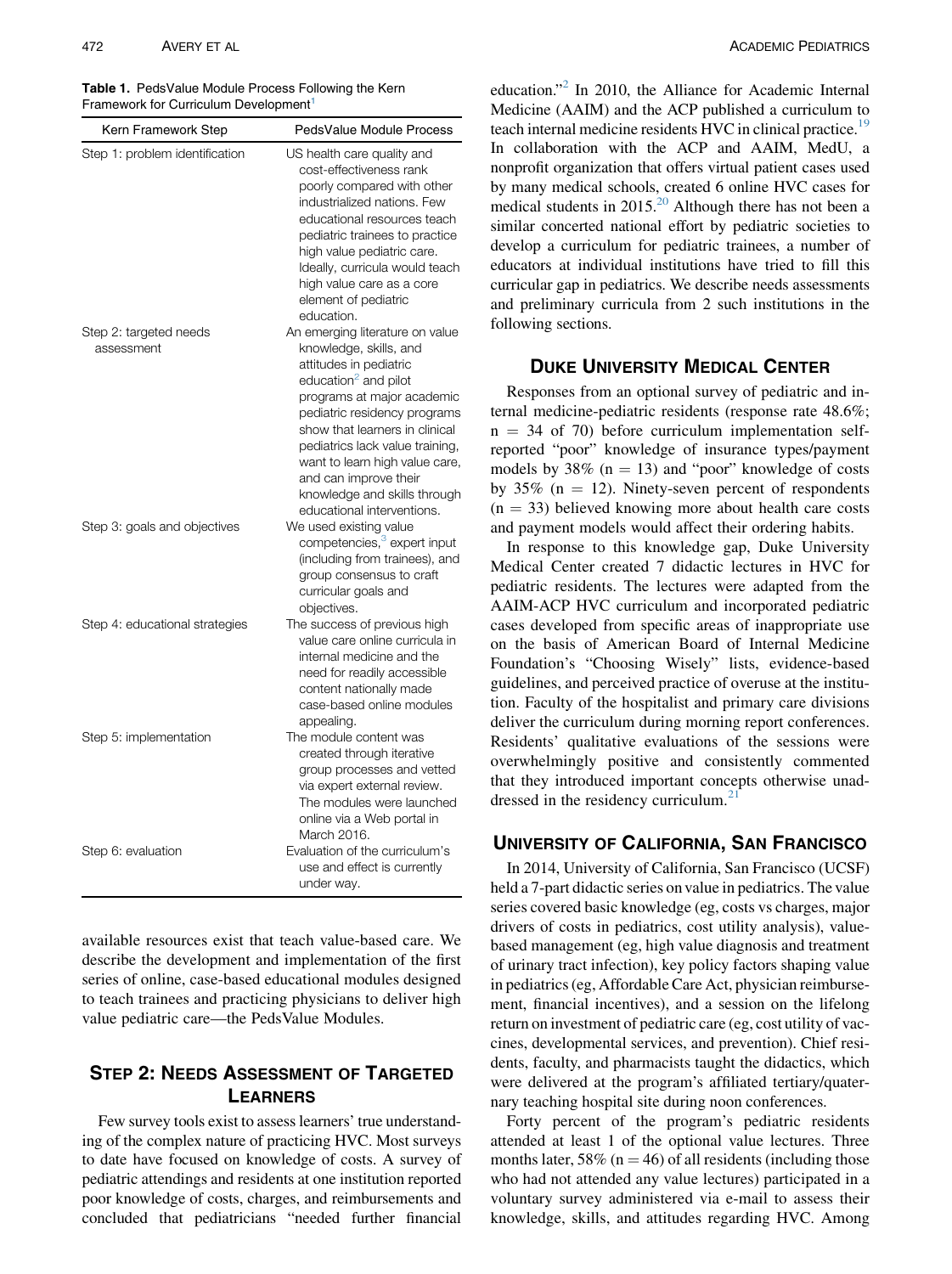<span id="page-1-0"></span>Table 1. PedsValue Module Process Following the Kern Framework for Curriculum Development<sup>[1](#page-4-0)</sup>

| Kern Framework Step                  | PedsValue Module Process                                                                                                                                                                                                                                                                                                                                                            |
|--------------------------------------|-------------------------------------------------------------------------------------------------------------------------------------------------------------------------------------------------------------------------------------------------------------------------------------------------------------------------------------------------------------------------------------|
| Step 1: problem identification       | US health care quality and<br>cost-effectiveness rank<br>poorly compared with other<br>industrialized nations. Few<br>educational resources teach<br>pediatric trainees to practice<br>high value pediatric care.<br>Ideally, curricula would teach<br>high value care as a core<br>element of pediatric<br>education.                                                              |
| Step 2: targeted needs<br>assessment | An emerging literature on value<br>knowledge, skills, and<br>attitudes in pediatric<br>education <sup>2</sup> and pilot<br>programs at major academic<br>pediatric residency programs<br>show that learners in clinical<br>pediatrics lack value training,<br>want to learn high value care,<br>and can improve their<br>knowledge and skills through<br>educational interventions. |
| Step 3: goals and objectives         | We used existing value<br>competencies, <sup>3</sup> expert input<br>(including from trainees), and<br>group consensus to craft<br>curricular goals and<br>objectives.                                                                                                                                                                                                              |
| Step 4: educational strategies       | The success of previous high<br>value care online curricula in<br>internal medicine and the<br>need for readily accessible<br>content nationally made<br>case-based online modules                                                                                                                                                                                                  |
| Step 5: implementation               | appealing.<br>The module content was<br>created through iterative<br>group processes and vetted<br>via expert external review.<br>The modules were launched<br>online via a Web portal in<br>March 2016.                                                                                                                                                                            |
| Step 6: evaluation                   | Evaluation of the curriculum's<br>use and effect is currently<br>under way.                                                                                                                                                                                                                                                                                                         |

available resources exist that teach value-based care. We describe the development and implementation of the first series of online, case-based educational modules designed to teach trainees and practicing physicians to deliver high value pediatric care—the PedsValue Modules.

# STEP 2: NEEDS ASSESSMENT OF TARGETED LEARNERS

Few survey tools exist to assess learners' true understanding of the complex nature of practicing HVC. Most surveys to date have focused on knowledge of costs. A survey of pediatric attendings and residents at one institution reported poor knowledge of costs, charges, and reimbursements and concluded that pediatricians "needed further financial

education."[2](#page-4-0) In 2010, the Alliance for Academic Internal Medicine (AAIM) and the ACP published a curriculum to teach internal medicine residents HVC in clinical practice.<sup>19</sup> In collaboration with the ACP and AAIM, MedU, a nonprofit organization that offers virtual patient cases used by many medical schools, created 6 online HVC cases for medical students in  $2015<sup>20</sup>$  $2015<sup>20</sup>$  Although there has not been a similar concerted national effort by pediatric societies to develop a curriculum for pediatric trainees, a number of educators at individual institutions have tried to fill this curricular gap in pediatrics. We describe needs assessments and preliminary curricula from 2 such institutions in the following sections.

#### DUKE UNIVERSITY MEDICAL CENTER

Responses from an optional survey of pediatric and internal medicine-pediatric residents (response rate 48.6%;  $n = 34$  of 70) before curriculum implementation selfreported "poor" knowledge of insurance types/payment models by 38% ( $n = 13$ ) and "poor" knowledge of costs by 35% ( $n = 12$ ). Ninety-seven percent of respondents  $(n = 33)$  believed knowing more about health care costs and payment models would affect their ordering habits.

In response to this knowledge gap, Duke University Medical Center created 7 didactic lectures in HVC for pediatric residents. The lectures were adapted from the AAIM-ACP HVC curriculum and incorporated pediatric cases developed from specific areas of inappropriate use on the basis of American Board of Internal Medicine Foundation's "Choosing Wisely" lists, evidence-based guidelines, and perceived practice of overuse at the institution. Faculty of the hospitalist and primary care divisions deliver the curriculum during morning report conferences. Residents' qualitative evaluations of the sessions were overwhelmingly positive and consistently commented that they introduced important concepts otherwise unaddressed in the residency curriculum. $2$ 

## UNIVERSITY OF CALIFORNIA, SAN FRANCISCO

In 2014, University of California, San Francisco (UCSF) held a 7-part didactic series on value in pediatrics. The value series covered basic knowledge (eg, costs vs charges, major drivers of costs in pediatrics, cost utility analysis), valuebased management (eg, high value diagnosis and treatment of urinary tract infection), key policy factors shaping value in pediatrics (eg, Affordable Care Act, physician reimbursement, financial incentives), and a session on the lifelong return on investment of pediatric care (eg, cost utility of vaccines, developmental services, and prevention). Chief residents, faculty, and pharmacists taught the didactics, which were delivered at the program's affiliated tertiary/quaternary teaching hospital site during noon conferences.

Forty percent of the program's pediatric residents attended at least 1 of the optional value lectures. Three months later, 58% ( $n = 46$ ) of all residents (including those who had not attended any value lectures) participated in a voluntary survey administered via e-mail to assess their knowledge, skills, and attitudes regarding HVC. Among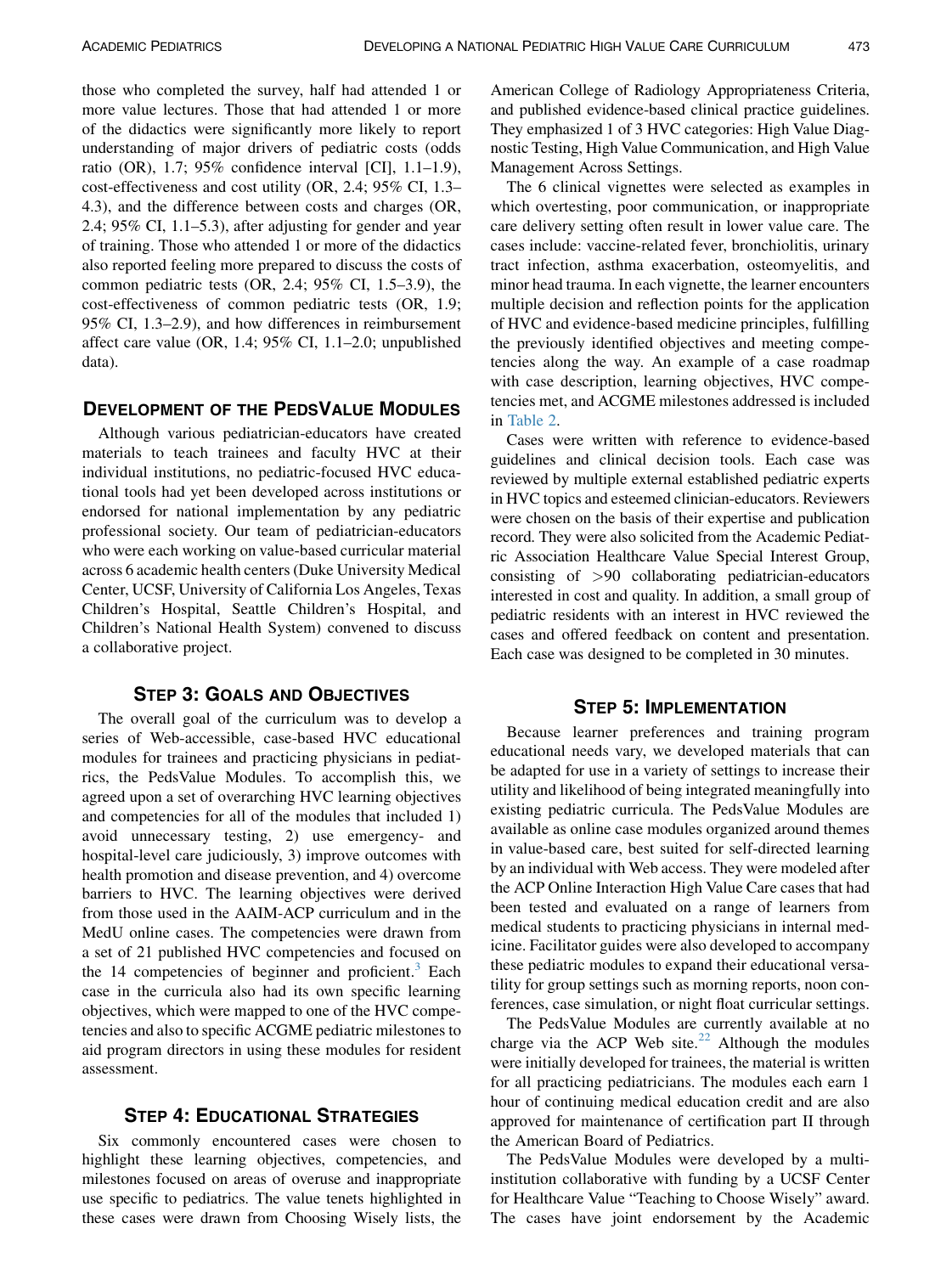those who completed the survey, half had attended 1 or more value lectures. Those that had attended 1 or more of the didactics were significantly more likely to report understanding of major drivers of pediatric costs (odds ratio (OR), 1.7; 95% confidence interval [CI], 1.1–1.9), cost-effectiveness and cost utility (OR, 2.4; 95% CI, 1.3– 4.3), and the difference between costs and charges (OR, 2.4; 95% CI, 1.1–5.3), after adjusting for gender and year of training. Those who attended 1 or more of the didactics also reported feeling more prepared to discuss the costs of common pediatric tests (OR, 2.4; 95% CI, 1.5–3.9), the cost-effectiveness of common pediatric tests (OR, 1.9; 95% CI, 1.3–2.9), and how differences in reimbursement affect care value (OR, 1.4; 95% CI, 1.1–2.0; unpublished data).

## DEVELOPMENT OF THE PEDSVALUE MODULES

Although various pediatrician-educators have created materials to teach trainees and faculty HVC at their individual institutions, no pediatric-focused HVC educational tools had yet been developed across institutions or endorsed for national implementation by any pediatric professional society. Our team of pediatrician-educators who were each working on value-based curricular material across 6 academic health centers (Duke University Medical Center, UCSF, University of California Los Angeles, Texas Children's Hospital, Seattle Children's Hospital, and Children's National Health System) convened to discuss a collaborative project.

## STEP 3: GOALS AND OBJECTIVES

The overall goal of the curriculum was to develop a series of Web-accessible, case-based HVC educational modules for trainees and practicing physicians in pediatrics, the PedsValue Modules. To accomplish this, we agreed upon a set of overarching HVC learning objectives and competencies for all of the modules that included 1) avoid unnecessary testing, 2) use emergency- and hospital-level care judiciously, 3) improve outcomes with health promotion and disease prevention, and 4) overcome barriers to HVC. The learning objectives were derived from those used in the AAIM-ACP curriculum and in the MedU online cases. The competencies were drawn from a set of 21 published HVC competencies and focused on the 14 competencies of beginner and proficient. $3$  Each case in the curricula also had its own specific learning objectives, which were mapped to one of the HVC competencies and also to specific ACGME pediatric milestones to aid program directors in using these modules for resident assessment.

#### STEP 4: EDUCATIONAL STRATEGIES

Six commonly encountered cases were chosen to highlight these learning objectives, competencies, and milestones focused on areas of overuse and inappropriate use specific to pediatrics. The value tenets highlighted in these cases were drawn from Choosing Wisely lists, the

American College of Radiology Appropriateness Criteria, and published evidence-based clinical practice guidelines. They emphasized 1 of 3 HVC categories: High Value Diagnostic Testing, High Value Communication, and High Value Management Across Settings.

The 6 clinical vignettes were selected as examples in which overtesting, poor communication, or inappropriate care delivery setting often result in lower value care. The cases include: vaccine-related fever, bronchiolitis, urinary tract infection, asthma exacerbation, osteomyelitis, and minor head trauma. In each vignette, the learner encounters multiple decision and reflection points for the application of HVC and evidence-based medicine principles, fulfilling the previously identified objectives and meeting competencies along the way. An example of a case roadmap with case description, learning objectives, HVC competencies met, and ACGME milestones addressed is included in [Table 2.](#page-3-0)

Cases were written with reference to evidence-based guidelines and clinical decision tools. Each case was reviewed by multiple external established pediatric experts in HVC topics and esteemed clinician-educators. Reviewers were chosen on the basis of their expertise and publication record. They were also solicited from the Academic Pediatric Association Healthcare Value Special Interest Group, consisting of >90 collaborating pediatrician-educators interested in cost and quality. In addition, a small group of pediatric residents with an interest in HVC reviewed the cases and offered feedback on content and presentation. Each case was designed to be completed in 30 minutes.

#### STEP 5: IMPLEMENTATION

Because learner preferences and training program educational needs vary, we developed materials that can be adapted for use in a variety of settings to increase their utility and likelihood of being integrated meaningfully into existing pediatric curricula. The PedsValue Modules are available as online case modules organized around themes in value-based care, best suited for self-directed learning by an individual with Web access. They were modeled after the ACP Online Interaction High Value Care cases that had been tested and evaluated on a range of learners from medical students to practicing physicians in internal medicine. Facilitator guides were also developed to accompany these pediatric modules to expand their educational versatility for group settings such as morning reports, noon conferences, case simulation, or night float curricular settings.

The PedsValue Modules are currently available at no charge via the ACP Web site.<sup>[22](#page-4-0)</sup> Although the modules were initially developed for trainees, the material is written for all practicing pediatricians. The modules each earn 1 hour of continuing medical education credit and are also approved for maintenance of certification part II through the American Board of Pediatrics.

The PedsValue Modules were developed by a multiinstitution collaborative with funding by a UCSF Center for Healthcare Value "Teaching to Choose Wisely" award. The cases have joint endorsement by the Academic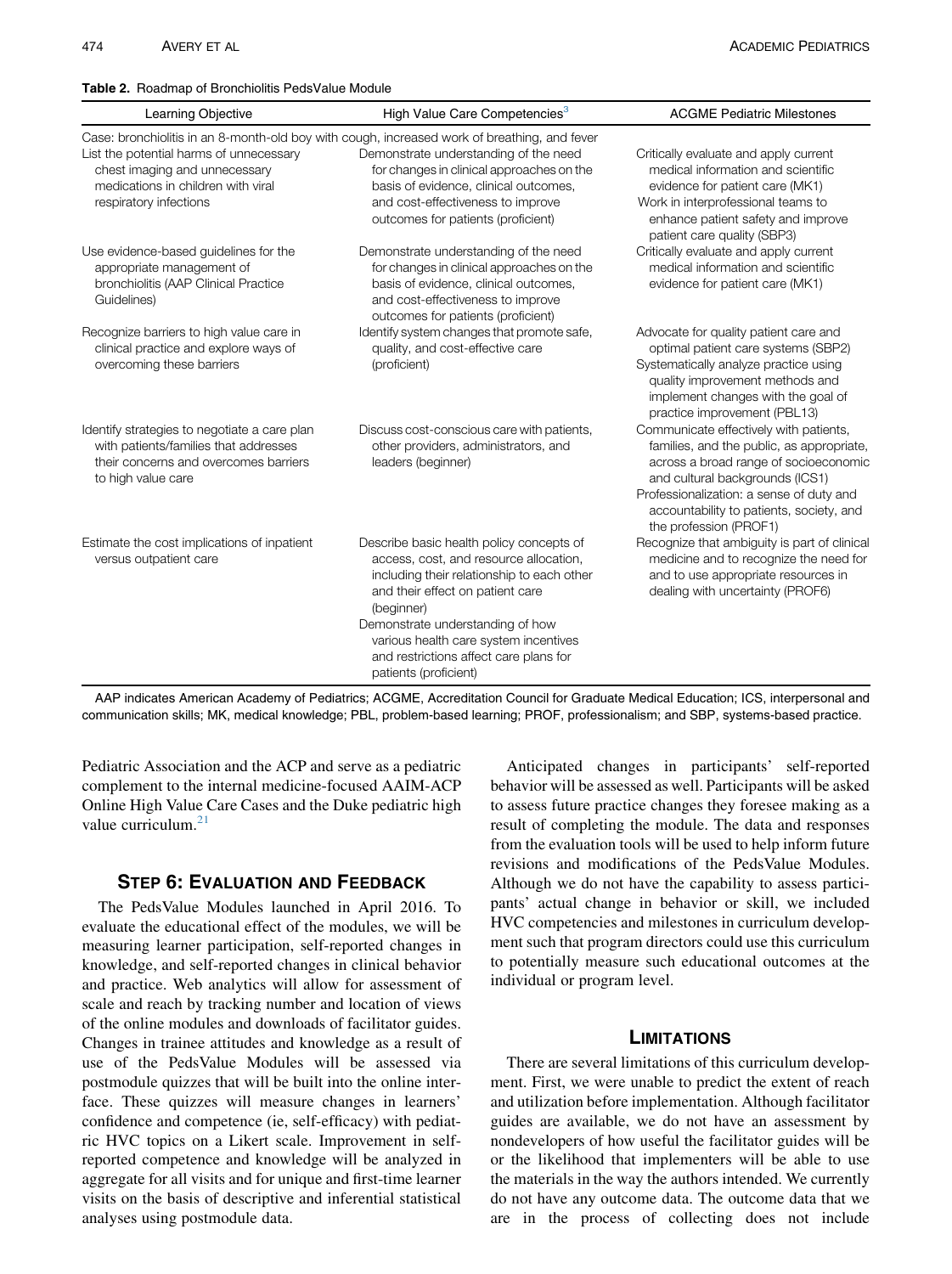<span id="page-3-0"></span>Table 2. Roadmap of Bronchiolitis PedsValue Module

| Learning Objective                                                                                                                                   | High Value Care Competencies <sup>3</sup>                                                                                                                                                                                                                                                                                          | <b>ACGME Pediatric Milestones</b>                                                                                                                                                                                                                                                 |
|------------------------------------------------------------------------------------------------------------------------------------------------------|------------------------------------------------------------------------------------------------------------------------------------------------------------------------------------------------------------------------------------------------------------------------------------------------------------------------------------|-----------------------------------------------------------------------------------------------------------------------------------------------------------------------------------------------------------------------------------------------------------------------------------|
|                                                                                                                                                      | Case: bronchiolitis in an 8-month-old boy with cough, increased work of breathing, and fever                                                                                                                                                                                                                                       |                                                                                                                                                                                                                                                                                   |
| List the potential harms of unnecessary<br>chest imaging and unnecessary<br>medications in children with viral<br>respiratory infections             | Demonstrate understanding of the need<br>for changes in clinical approaches on the<br>basis of evidence, clinical outcomes,<br>and cost-effectiveness to improve<br>outcomes for patients (proficient)                                                                                                                             | Critically evaluate and apply current<br>medical information and scientific<br>evidence for patient care (MK1)<br>Work in interprofessional teams to<br>enhance patient safety and improve<br>patient care quality (SBP3)                                                         |
| Use evidence-based guidelines for the<br>appropriate management of<br>bronchiolitis (AAP Clinical Practice<br>Guidelines)                            | Demonstrate understanding of the need<br>for changes in clinical approaches on the<br>basis of evidence, clinical outcomes,<br>and cost-effectiveness to improve<br>outcomes for patients (proficient)                                                                                                                             | Critically evaluate and apply current<br>medical information and scientific<br>evidence for patient care (MK1)                                                                                                                                                                    |
| Recognize barriers to high value care in<br>clinical practice and explore ways of<br>overcoming these barriers                                       | Identify system changes that promote safe,<br>quality, and cost-effective care<br>(proficient)                                                                                                                                                                                                                                     | Advocate for quality patient care and<br>optimal patient care systems (SBP2)<br>Systematically analyze practice using<br>quality improvement methods and<br>implement changes with the goal of<br>practice improvement (PBL13)                                                    |
| Identify strategies to negotiate a care plan<br>with patients/families that addresses<br>their concerns and overcomes barriers<br>to high value care | Discuss cost-conscious care with patients,<br>other providers, administrators, and<br>leaders (beginner)                                                                                                                                                                                                                           | Communicate effectively with patients,<br>families, and the public, as appropriate,<br>across a broad range of socioeconomic<br>and cultural backgrounds (ICS1)<br>Professionalization: a sense of duty and<br>accountability to patients, society, and<br>the profession (PROF1) |
| Estimate the cost implications of inpatient<br>versus outpatient care                                                                                | Describe basic health policy concepts of<br>access, cost, and resource allocation,<br>including their relationship to each other<br>and their effect on patient care<br>(beginner)<br>Demonstrate understanding of how<br>various health care system incentives<br>and restrictions affect care plans for<br>patients (proficient) | Recognize that ambiguity is part of clinical<br>medicine and to recognize the need for<br>and to use appropriate resources in<br>dealing with uncertainty (PROF6)                                                                                                                 |

AAP indicates American Academy of Pediatrics; ACGME, Accreditation Council for Graduate Medical Education; ICS, interpersonal and communication skills; MK, medical knowledge; PBL, problem-based learning; PROF, professionalism; and SBP, systems-based practice.

Pediatric Association and the ACP and serve as a pediatric complement to the internal medicine-focused AAIM-ACP Online High Value Care Cases and the Duke pediatric high value curriculum.<sup>[21](#page-4-0)</sup>

## STEP 6: EVALUATION AND FEEDBACK

The PedsValue Modules launched in April 2016. To evaluate the educational effect of the modules, we will be measuring learner participation, self-reported changes in knowledge, and self-reported changes in clinical behavior and practice. Web analytics will allow for assessment of scale and reach by tracking number and location of views of the online modules and downloads of facilitator guides. Changes in trainee attitudes and knowledge as a result of use of the PedsValue Modules will be assessed via postmodule quizzes that will be built into the online interface. These quizzes will measure changes in learners' confidence and competence (ie, self-efficacy) with pediatric HVC topics on a Likert scale. Improvement in selfreported competence and knowledge will be analyzed in aggregate for all visits and for unique and first-time learner visits on the basis of descriptive and inferential statistical analyses using postmodule data.

Anticipated changes in participants' self-reported behavior will be assessed as well. Participants will be asked to assess future practice changes they foresee making as a result of completing the module. The data and responses from the evaluation tools will be used to help inform future revisions and modifications of the PedsValue Modules. Although we do not have the capability to assess participants' actual change in behavior or skill, we included HVC competencies and milestones in curriculum development such that program directors could use this curriculum to potentially measure such educational outcomes at the individual or program level.

#### **LIMITATIONS**

There are several limitations of this curriculum development. First, we were unable to predict the extent of reach and utilization before implementation. Although facilitator guides are available, we do not have an assessment by nondevelopers of how useful the facilitator guides will be or the likelihood that implementers will be able to use the materials in the way the authors intended. We currently do not have any outcome data. The outcome data that we are in the process of collecting does not include